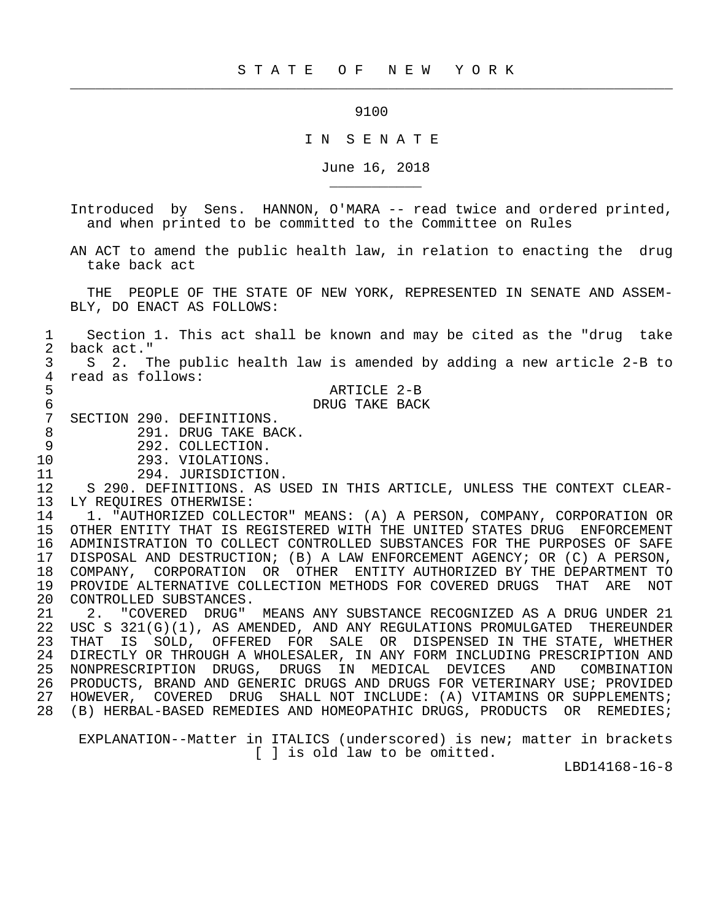9100

 $\frac{1}{2}$  , and the contribution of the contribution of the contribution of the contribution of the contribution of the contribution of the contribution of the contribution of the contribution of the contribution of the c

## I N S E N A T E

June 16, 2018

 Introduced by Sens. HANNON, O'MARA -- read twice and ordered printed, and when printed to be committed to the Committee on Rules

 AN ACT to amend the public health law, in relation to enacting the drug take back act

 THE PEOPLE OF THE STATE OF NEW YORK, REPRESENTED IN SENATE AND ASSEM- BLY, DO ENACT AS FOLLOWS:

1 Section 1. This act shall be known and may be cited as the "drug take<br>2 back act." 2 back act."<br>3 S 2. T

 3 S 2. The public health law is amended by adding a new article 2-B to 4 read as follows:

5 ARTICLE 2-B<br>6 BACI DRUG TAKE BACI

6 DRUG TAKE BACK<br>7 SECTION 290. DEFINITIONS. 7 SECTION 290. DEFINITIONS.<br>8 291. DRUG TAKE BA

8 291. DRUG TAKE BACK.<br>9 292. COLLECTION.

\_\_\_\_\_\_\_\_\_\_\_

- 
- 9 292. COLLECTION.<br>10 293. VIOLATIONS.
- 10 293. VIOLATIONS.<br>11 294. JURISDICTIO

11 294. JURISDICTION.<br>12 S 290. DEFINITIONS. AS U 12 S 290. DEFINITIONS. AS USED IN THIS ARTICLE, UNLESS THE CONTEXT CLEAR- 13 LY REQUIRES OTHERWISE:<br>14 1. "AUTHORIZED COLLEG

14 1. "AUTHORIZED COLLECTOR" MEANS: (A) A PERSON, COMPANY, CORPORATION OR<br>15 OTHER ENTITY THAT IS REGISTERED WITH THE UNITED STATES DRUG ENFORCEMENT 15 OTHER ENTITY THAT IS REGISTERED WITH THE UNITED STATES DRUG ENFORCEMENT 16 ADMINISTRATION TO COLLECT CONTROLLED SUBSTANCES FOR THE PURPOSES OF SAFE 17 DISPOSAL AND DESTRUCTION; (B) A LAW ENFORCEMENT AGENCY; OR (C) A PERSON, 18 COMPANY, CORPORATION OR OTHER ENTITY AUTHORIZED BY THE DEPARTMENT TO 19 PROVIDE ALTERNATIVE COLLECTION METHODS FOR COVERED DRUGS THAT ARE NOT 20 CONTROLLED SUBSTANCES.<br>21 2. "COVERED DRUG"

21 2. "COVERED DRUG" MEANS ANY SUBSTANCE RECOGNIZED AS A DRUG UNDER 21<br>22 USC S 321(G)(1), AS AMENDED, AND ANY REGULATIONS PROMULGATED THEREUNDER 22 USC S 321(G)(1), AS AMENDED, AND ANY REGULATIONS PROMULGATED THEREUNDER<br>23 THAT IS SOLD, OFFERED FOR SALE OR DISPENSED IN THE STATE, WHETHER THAT IS SOLD, OFFERED FOR SALE OR DISPENSED IN THE STATE, WHETHER 24 DIRECTLY OR THROUGH A WHOLESALER, IN ANY FORM INCLUDING PRESCRIPTION AND<br>25 NONPRESCRIPTION DRUGS, DRUGS IN MEDICAL DEVICES AND COMBINATION NONPRESCRIPTION DRUGS, DRUGS IN MEDICAL DEVICES 26 PRODUCTS, BRAND AND GENERIC DRUGS AND DRUGS FOR VETERINARY USE; PROVIDED 27 HOWEVER, COVERED DRUG SHALL NOT INCLUDE: (A) VITAMINS OR SUPPLEMENTS; 28 (B) HERBAL-BASED REMEDIES AND HOMEOPATHIC DRUGS, PRODUCTS OR REMEDIES;

 EXPLANATION--Matter in ITALICS (underscored) is new; matter in brackets [ ] is old law to be omitted.

LBD14168-16-8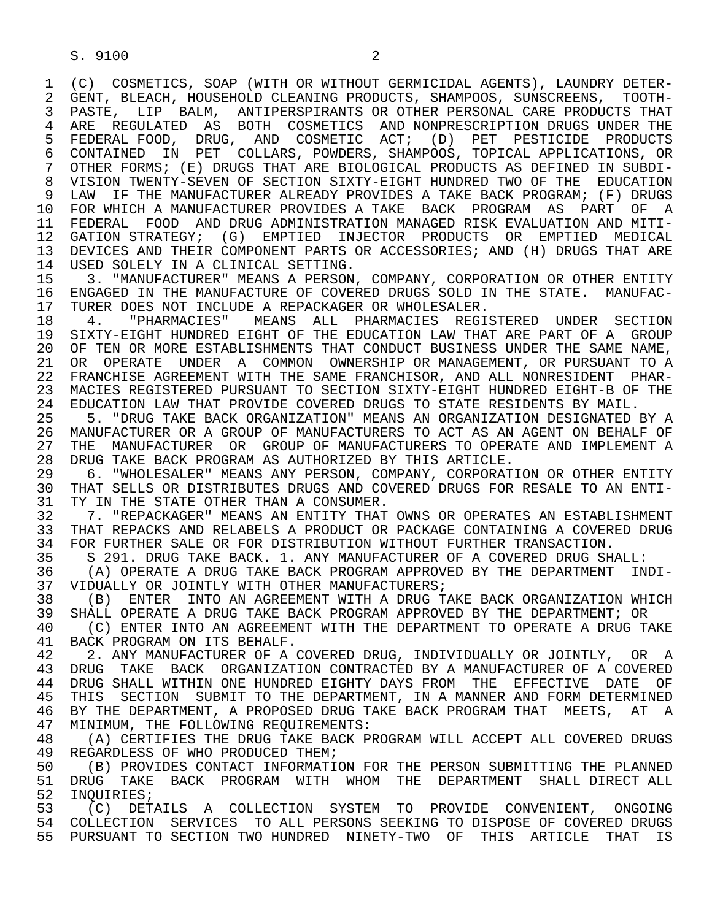1 (C) COSMETICS, SOAP (WITH OR WITHOUT GERMICIDAL AGENTS), LAUNDRY DETER-<br>2 GENT, BLEACH, HOUSEHOLD CLEANING PRODUCTS, SHAMPOOS, SUNSCREENS, TOOTH-2 GENT, BLEACH, HOUSEHOLD CLEANING PRODUCTS, SHAMPOOS, SUNSCREENS, TOOTH-<br>3 PASTE, LIP BALM, ANTIPERSPIRANTS OR OTHER PERSONAL CARE PRODUCTS THAT 3 PASTE, LIP BALM, ANTIPERSPIRANTS OR OTHER PERSONAL CARE PRODUCTS THAT 4 ARE REGULATED AS BOTH COSMETICS AND NONPRESCRIPTION DRUGS UNDER THE 41 STATED AS BOTH COSMETIC ACT: (D) PET PESTICIDE PRODUCTS 5 FEDERAL FOOD, DRUG, AND COSMETIC ACT; (D) PET PESTICIDE PRODUCTS 6 CONTAINED IN PET COLLARS, POWDERS, SHAMPOOS, TOPICAL APPLICATIONS, OR 7 OTHER FORMS; (E) DRUGS THAT ARE BIOLOGICAL PRODUCTS AS DEFINED IN SUBDI- 8 VISION TWENTY-SEVEN OF SECTION SIXTY-EIGHT HUNDRED TWO OF THE EDUCATION 9 LAW IF THE MANUFACTURER ALREADY PROVIDES A TAKE BACK PROGRAM; (F) DRUGS<br>10 FOR WHICH A MANUFACTURER PROVIDES A TAKE BACK PROGRAM AS PART OF A 10 FOR WHICH A MANUFACTURER PROVIDES A TAKE BACK PROGRAM AS PART OF A<br>11 FEDERAL FOOD AND DRUG ADMINISTRATION MANAGED RISK EVALUATION AND MITI-11 FEDERAL FOOD AND DRUG ADMINISTRATION MANAGED RISK EVALUATION AND MITI-<br>12 GATION STRATEGY; (G) EMPTIED INJECTOR PRODUCTS OR EMPTIED MEDICAL 12 GATION STRATEGY; (G) EMPTIED INJECTOR PRODUCTS OR EMPTIED MEDICAL<br>13 DEVICES AND THEIR COMPONENT PARTS OR ACCESSORIES; AND (H) DRUGS THAT ARE 13 DEVICES AND THEIR COMPONENT PARTS OR ACCESSORIES; AND (H) DRUGS THAT ARE 14 ISED SOLELY IN A CLINICAL SETTING 14 USED SOLELY IN A CLINICAL SETTING.<br>15 3. "MANUFACTURER" MEANS A PERSON

15 3. "MANUFACTURER" MEANS A PERSON, COMPANY, CORPORATION OR OTHER ENTITY<br>16 ENGAGED IN THE MANUFACTURE OF COVERED DRUGS SOLD IN THE STATE. MANUFAC-16 ENGAGED IN THE MANUFACTURE OF COVERED DRUGS SOLD IN THE STATE. MANUFAC-<br>17 TURER DOES NOT INCLUDE A REPACKAGER OR WHOLESALER.

17 TURER DOES NOT INCLUDE A REPACKAGER OR WHOLESALER.<br>18 9. PHARMACIES" MEANS ALL PHARMACIES REGI 18 4. "PHARMACIES" MEANS ALL PHARMACIES REGISTERED UNDER SECTION<br>19 SIXTY-EIGHT HUNDRED EIGHT OF THE EDUCATION LAW THAT ARE PART OF A GROUP 19 SIXTY-EIGHT HUNDRED EIGHT OF THE EDUCATION LAW THAT ARE PART OF A GROUP<br>20 OF TEN OR MORE ESTABLISHMENTS THAT CONDUCT BUSINESS UNDER THE SAME NAME. 20 OF TEN OR MORE ESTABLISHMENTS THAT CONDUCT BUSINESS UNDER THE SAME NAME,<br>21 OR OPERATE UNDER A COMMON OWNERSHIP OR MANAGEMENT, OR PURSUANT TO A 21 OR OPERATE UNDER A COMMON OWNERSHIP OR MANAGEMENT, OR PURSUANT TO A<br>22 FRANCHISE AGREEMENT WITH THE SAME FRANCHISOR, AND ALL NONRESIDENT PHAR-22 FRANCHISE AGREEMENT WITH THE SAME FRANCHISOR, AND ALL NONRESIDENT PHAR-<br>23 MACIES REGISTERED PURSUANT TO SECTION SIXTY-EIGHT HUNDRED EIGHT-B OF THE 23 MACIES REGISTERED PURSUANT TO SECTION SIXTY-EIGHT HUNDRED EIGHT-B OF THE<br>24 EDUCATION LAW THAT PROVIDE COVERED DRUGS TO STATE RESIDENTS BY MAIL. 24 EDUCATION LAW THAT PROVIDE COVERED DRUGS TO STATE RESIDENTS BY MAIL.<br>25 5. "DRUG TAKE BACK ORGANIZATION" MEANS AN ORGANIZATION DESIGNATED B

 25 5. "DRUG TAKE BACK ORGANIZATION" MEANS AN ORGANIZATION DESIGNATED BY A 26 MANUFACTURER OR A GROUP OF MANUFACTURERS TO ACT AS AN AGENT ON BEHALF OF<br>27 THE MANUFACTURER OR GROUP OF MANUFACTURERS TO OPERATE AND IMPLEMENT A 27 THE MANUFACTURER OR GROUP OF MANUFACTURERS TO OPERATE AND IMPLEMENT A<br>28 DRUG TAKE BACK PROGRAM AS AUTHORIZED BY THIS ARTICLE. 28 DRUG TAKE BACK PROGRAM AS AUTHORIZED BY THIS ARTICLE.<br>29 6. "WHOLESALER" MEANS ANY PERSON, COMPANY, CORPORAT

29 6. "WHOLESALER" MEANS ANY PERSON, COMPANY, CORPORATION OR OTHER ENTITY<br>30 THAT SELLS OR DISTRIBUTES DRUGS AND COVERED DRUGS FOR RESALE TO AN ENTI-30 THAT SELLS OR DISTRIBUTES DRUGS AND COVERED DRUGS FOR RESALE TO AN ENTI-<br>31 TY IN THE STATE OTHER THAN A CONSUMER. 31 TY IN THE STATE OTHER THAN A CONSUMER.<br>32 7. "REPACKAGER" MEANS AN ENTITY THAT

32 52 7. "REPACKAGER" MEANS AN ENTITY THAT OWNS OR OPERATES AN ESTABLISHMENT<br>33 THAT REPACKS AND RELABELS A PRODUCT OR PACKAGE CONTAINING A COVERED DRUG 33 THAT REPACKS AND RELABELS A PRODUCT OR PACKAGE CONTAINING A COVERED DRUG<br>34 FOR FURTHER SALE OR FOR DISTRIBUTION WITHOUT FURTHER TRANSACTION. 34 FOR FURTHER SALE OR FOR DISTRIBUTION WITHOUT FURTHER TRANSACTION.<br>35 S 291. DRUG TAKE BACK. 1. ANY MANUFACTURER OF A COVERED DRUG SH

35 S 291. DRUG TAKE BACK. 1. ANY MANUFACTURER OF A COVERED DRUG SHALL:<br>36 (A) OPERATE A DRUG TAKE BACK PROGRAM APPROVED BY THE DEPARTMENT IN

36 (A) OPERATE A DRUG TAKE BACK PROGRAM APPROVED BY THE DEPARTMENT INDI-<br>37 VIDUALLY OR JOINTLY WITH OTHER MANUFACTURERS; 37 VIDUALLY OR JOINTLY WITH OTHER MANUFACTURERS;<br>38 (B) ENTER INTO AN AGREEMENT WITH A DRUG T.

38 (B) ENTER INTO AN AGREEMENT WITH A DRUG TAKE BACK ORGANIZATION WHICH<br>39 SHALL OPERATE A DRUG TAKE BACK PROGRAM APPROVED BY THE DEPARTMENT; OR 39 SHALL OPERATE A DRUG TAKE BACK PROGRAM APPROVED BY THE DEPARTMENT; OR<br>40 (C) ENTER INTO AN AGREEMENT WITH THE DEPARTMENT TO OPERATE A DRUG T.

40 (C) ENTER INTO AN AGREEMENT WITH THE DEPARTMENT TO OPERATE A DRUG TAKE 41 RACK PROGRAM ON TTS BEHALE 41 BACK PROGRAM ON ITS BEHALF.<br>42 2. ANY MANUFACTURER OF A

42 2. ANY MANUFACTURER OF A COVERED DRUG, INDIVIDUALLY OR JOINTLY, OR A<br>43 DRUG TAKE BACK ORGANIZATION CONTRACTED BY A MANUFACTURER OF A COVERED 43 DRUG TAKE BACK ORGANIZATION CONTRACTED BY A MANUFACTURER OF A COVERED<br>44 DRUG SHALL WITHIN ONE HUNDRED EIGHTY DAYS FROM THE EFFECTIVE DATE OF 44 DRUG SHALL WITHIN ONE HUNDRED EIGHTY DAYS FROM THE EFFECTIVE DATE OF<br>45 THIS SECTION SUBMIT TO THE DEPARTMENT, IN A MANNER AND FORM DETERMINED THIS SECTION SUBMIT TO THE DEPARTMENT, IN A MANNER AND FORM DETERMINED 46 BY THE DEPARTMENT, A PROPOSED DRUG TAKE BACK PROGRAM THAT MEETS, AT A<br>47 MINIMUM, THE FOLLOWING REOUIREMENTS: 47 MINIMUM, THE FOLLOWING REQUIREMENTS:<br>48 (A) CERTIFIES THE DRUG TAKE BACK PI

48 (A) CERTIFIES THE DRUG TAKE BACK PROGRAM WILL ACCEPT ALL COVERED DRUGS<br>49 REGARDLESS OF WHO PRODUCED THEM; 49 REGARDLESS OF WHO PRODUCED THEM;<br>50 (B) PROVIDES CONTACT INFORMATI

50 (B) PROVIDES CONTACT INFORMATION FOR THE PERSON SUBMITTING THE PLANNED<br>51 DRUG TAKE BACK PROGRAM WITH WHOM THE DEPARTMENT SHALL DIRECT ALL 51 DRUG TAKE BACK PROGRAM WITH WHOM THE DEPARTMENT SHALL DIRECTALL 52 INOUIRIES; 52 INQUIRIES;<br>53 (C) DETA

53 (C) DETAILS A COLLECTION SYSTEM TO PROVIDE CONVENIENT, ONGOING<br>54 COLLECTION SERVICES TO ALL PERSONS SEEKING TO DISPOSE OF COVERED DRUGS 54 COLLECTION SERVICES TO ALL PERSONS SEEKING TO DISPOSE OF COVERED DRUGS 55 PURSUANT TO SECTION TWO HUNDRED NINETY-TWO OF THIS ARTICLE THAT IS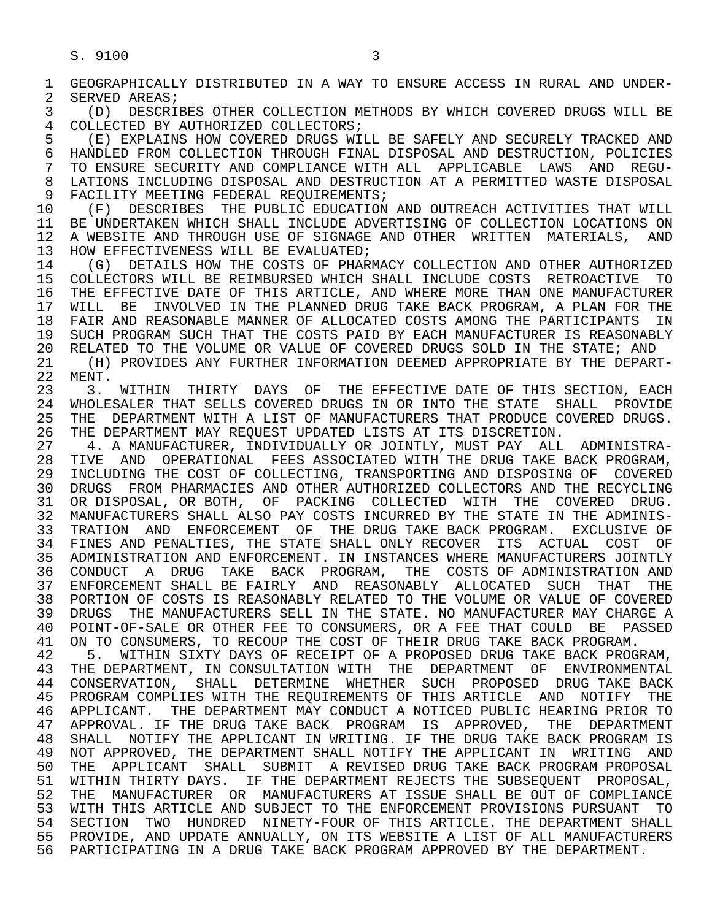1 GEOGRAPHICALLY DISTRIBUTED IN A WAY TO ENSURE ACCESS IN RURAL AND UNDER-<br>2 SERVED AREAS; 2 SERVED AREAS;<br>3 (D) DESCRII

3 (D) DESCRIBES OTHER COLLECTION METHODS BY WHICH COVERED DRUGS WILL BE (OLLECTED BY AUTHORIZED COLLECTORS; 4 COLLECTED BY AUTHORIZED COLLECTORS;<br>5 (E) EXPLAINS HOW COVERED DRUGS WIL

5 (E) EXPLAINS HOW COVERED DRUGS WILL BE SAFELY AND SECURELY TRACKED AND<br>6 HANDLED FROM COLLECTION THROUGH FINAL DISPOSAL AND DESTRUCTION, POLICIES 6 HANDLED FROM COLLECTION THROUGH FINAL DISPOSAL AND DESTRUCTION, POLICIES<br>7 TO ENSURE SECURITY AND COMPLIANCE WITH ALL APPLICABLE LAWS AND REGU-7 TO ENSURE SECURITY AND COMPLIANCE WITH ALL APPLICABLE LAWS AND REGU-<br>8 LATIONS INCLUDING DISPOSAL AND DESTRUCTION AT A PERMITTED WASTE DISPOSAL 8 LATIONS INCLUDING DISPOSAL AND DESTRUCTION AT A PERMITTED WASTE DISPOSAL<br>9 FACILITY MEETING FEDERAL REOUIREMENTS; 9 FACILITY MEETING FEDERAL REQUIREMENTS;<br>10 (F) DESCRIBES THE PUBLIC EDUCATION

10 (F) DESCRIBES THE PUBLIC EDUCATION AND OUTREACH ACTIVITIES THAT WILL<br>11 BE UNDERTAKEN WHICH SHALL INCLUDE ADVERTISING OF COLLECTION LOCATIONS ON 11 BE UNDERTAKEN WHICH SHALL INCLUDE ADVERTISING OF COLLECTION LOCATIONS ON<br>12 A WEBSITE AND THROUGH USE OF SIGNAGE AND OTHER WRITTEN MATERIALS, AND 12 A WEBSITE AND THROUGH USE OF SIGNAGE AND OTHER WRITTEN MATERIALS, AND<br>13 HOW EFFECTIVENESS WILL BE EVALUATED; 13 HOW EFFECTIVENESS WILL BE EVALUATED;<br>14 (G) DETAILS HOW THE COSTS OF PHAR

14 (G) DETAILS HOW THE COSTS OF PHARMACY COLLECTION AND OTHER AUTHORIZED<br>15 COLLECTORS WILL BE REIMBURSED WHICH SHALL INCLUDE COSTS RETROACTIVE TO 15 COLLECTORS WILL BE REIMBURSED WHICH SHALL INCLUDE COSTS RETROACTIVE TO<br>16 THE EFFECTIVE DATE OF THIS ARTICLE, AND WHERE MORE THAN ONE MANUFACTURER 16 THE EFFECTIVE DATE OF THIS ARTICLE, AND WHERE MORE THAN ONE MANUFACTURER<br>17 WILL BE INVOLVED IN THE PLANNED DRUG TAKE BACK PROGRAM, A PLAN FOR THE 17 WILL BE INVOLVED IN THE PLANNED DRUG TAKE BACK PROGRAM, A PLAN FOR THE<br>18 FAIR AND REASONABLE MANNER OF ALLOCATED COSTS AMONG THE PARTICIPANTS IN 18 FAIR AND REASONABLE MANNER OF ALLOCATED COSTS AMONG THE PARTICIPANTS IN<br>19 SUCH PROGRAM SUCH THAT THE COSTS PAID BY EACH MANUFACTURER IS REASONABLY 19 SUCH PROGRAM SUCH THAT THE COSTS PAID BY EACH MANUFACTURER IS REASONABLY<br>20 RELATED TO THE VOLUME OR VALUE OF COVERED DRUGS SOLD IN THE STATE; AND 20 RELATED TO THE VOLUME OR VALUE OF COVERED DRUGS SOLD IN THE STATE; AND<br>21 The PROVIDES ANY FURTHER INFORMATION DEEMED APPROPRIATE BY THE DEPART 21 (H) PROVIDES ANY FURTHER INFORMATION DEEMED APPROPRIATE BY THE DEPART-<br>22 MENT.

22 MENT.<br>23 3. 23 3. WITHIN THIRTY DAYS OF THE EFFECTIVE DATE OF THIS SECTION, EACH<br>24 WHOLESALER THAT SELLS COVERED DRUGS IN OR INTO THE STATE SHALL PROVIDE 24 WHOLESALER THAT SELLS COVERED DRUGS IN OR INTO THE STATE SHALL PROVIDE<br>25 THE DEPARTMENT WITH A LIST OF MANUFACTURERS THAT PRODUCE COVERED DRUGS. THE DEPARTMENT WITH A LIST OF MANUFACTURERS THAT PRODUCE COVERED DRUGS. 26 THE DEPARTMENT MAY REQUEST UPDATED LISTS AT ITS DISCRETION.<br>27 4. A MANUFACTURER, INDIVIDUALLY OR JOINTLY, MUST PAY ALL

 27 4. A MANUFACTURER, INDIVIDUALLY OR JOINTLY, MUST PAY ALL ADMINISTRA- 28 TIVE AND OPERATIONAL FEES ASSOCIATED WITH THE DRUG TAKE BACK PROGRAM,<br>29 INCLUDING THE COST OF COLLECTING, TRANSPORTING AND DISPOSING OF COVERED 29 INCLUDING THE COST OF COLLECTING, TRANSPORTING AND DISPOSING OF COVERED 30 DRUGS FROM PHARMACIES AND OTHER AUTHORIZED COLLECTORS AND THE RECYCLING 31 OR DISPOSAL, OR BOTH, OF PACKING COLLECTED WITH THE COVERED DRUG.<br>32 MANUFACTURERS SHALL ALSO PAY COSTS INCURRED BY THE STATE IN THE ADMINIS-32 MANUFACTURERS SHALL ALSO PAY COSTS INCURRED BY THE STATE IN THE ADMINIS-<br>33 TRATION AND ENFORCEMENT OF THE DRUG TAKE BACK PROGRAM. EXCLUSIVE OF 33 TRATION AND ENFORCEMENT OF THE DRUG TAKE BACK PROGRAM. EXCLUSIVE OF 34 FINES AND PENALTIES, THE STATE SHALL ONLY RECOVER ITS ACTUAL COST OF 35 ADMINISTRATION AND ENFORCEMENT. IN INSTANCES WHERE MANUFACTURERS JOINTLY 35 ADMINISTRATION AND ENFORCEMENT. IN INSTANCES WHERE MANUFACTURERS JOINTLY<br>36 CONDUCT A DRUG TAKE BACK PROGRAM, THE COSTS OF ADMINISTRATION AND 36 CONDUCT A DRUG TAKE BACK PROGRAM, THE COSTS OF ADMINISTRATION AND 37 ENFORCEMENT SHALL BE FAIRLY AND REASONABLY ALLOCATED SUCH THAT THE 38 PORTION OF COSTS IS REASONABLY RELATED TO THE VOLUME OR VALUE OF COVERED 38 PORTION OF COSTS IS REASONABLY RELATED TO THE VOLUME OR VALUE OF COVERED<br>39 DRUGS THE MANUFACTURERS SELL IN THE STATE. NO MANUFACTURER MAY CHARGE A 39 DRUGS THE MANUFACTURERS SELL IN THE STATE. NO MANUFACTURER MAY CHARGE A<br>40 POINT-OF-SALE OR OTHER FEE TO CONSUMERS, OR A FEE THAT COULD BE PASSED 40 POINT-OF-SALE OR OTHER FEE TO CONSUMERS, OR A FEE THAT COULD BE PASSED<br>41 ON TO CONSUMERS, TO RECOUP THE COST OF THEIR DRUG TAKE BACK PROGRAM. 41 ON TO CONSUMERS, TO RECOUP THE COST OF THEIR DRUG TAKE BACK PROGRAM.<br>42 5. WITHIN SIXTY DAYS OF RECEIPT OF A PROPOSED DRUG TAKE BACK PROG

42 5. WITHIN SIXTY DAYS OF RECEIPT OF A PROPOSED DRUG TAKE BACK PROGRAM,<br>43 THE DEPARTMENT, IN CONSULTATION WITH THE DEPARTMENT OF ENVIRONMENTAL 43 THE DEPARTMENT, IN CONSULTATION WITH THE DEPARTMENT OF ENVIRONMENTAL<br>44 CONSERVATION, SHALL DETERMINE WHETHER SUCH PROPOSED DRUG-TAKE-BACK 44 CONSERVATION, SHALL DETERMINE WHETHER SUCH PROPOSED DRUG-TAKE-BACK<br>45 PROGRAM-COMPLIES-WITH-THE-REOUIREMENTS-OF-THIS-ARTICLE AND NOTIFY-THE 45 PROGRAM COMPLIES WITH THE REQUIREMENTS OF THIS ARTICLE AND NOTIFY THE 46 APPLICANT. THE DEPARTMENT MAY CONDUCT A NOTICED PUBLIC HEARING PRIOR TO<br>47 APPROVAL. IF THE DRUG TAKE BACK PROGRAM IS APPROVED. THE DEPARTMENT 47 APPROVAL. IF THE DRUG TAKE BACK PROGRAM IS APPROVED, THE DEPARTMENT<br>48 SHALL NOTIFY THE APPLICANT IN WRITING. IF THE DRUG TAKE BACK PROGRAM IS SHALL NOTIFY THE APPLICANT IN WRITING. IF THE DRUG TAKE BACK PROGRAM IS 49 NOT APPROVED, THE DEPARTMENT SHALL NOTIFY THE APPLICANT IN WRITING AND<br>50 THE APPLICANT SHALL SUBMIT A REVISED DRUG TAKE BACK PROGRAM PROPOSAL 50 THE APPLICANT SHALL SUBMIT A REVISED DRUG TAKE BACK PROGRAM PROPOSAL<br>51 WITHIN THIRTY DAYS. IF THE DEPARTMENT REJECTS THE SUBSEOUENT PROPOSAL, 51 WITHIN THIRTY DAYS. IF THE DEPARTMENT REJECTS THE SUBSEQUENT PROPOSAL,<br>52 THE MANUFACTURER OR MANUFACTURERS AT ISSUE SHALL BE OUT OF COMPLIANCE 52 THE MANUFACTURER OR MANUFACTURERS AT ISSUE SHALL BE OUT OF COMPLIANCE<br>53 WITH THIS ARTICLE AND SUBJECT TO THE ENFORCEMENT PROVISIONS PURSUANT TO 53 WITH THIS ARTICLE AND SUBJECT TO THE ENFORCEMENT PROVISIONS PURSUANT TO<br>54 SECTION TWO HUNDRED NINETY-FOUR OF THIS ARTICLE. THE DEPARTMENT SHALL SECTION TWO HUNDRED NINETY-FOUR OF THIS ARTICLE. THE DEPARTMENT SHALL 55 PROVIDE, AND UPDATE ANNUALLY, ON ITS WEBSITE A LIST OF ALL MANUFACTURERS 56 PARTICIPATING IN A DRUG TAKE BACK PROGRAM APPROVED BY THE DEPARTMENT.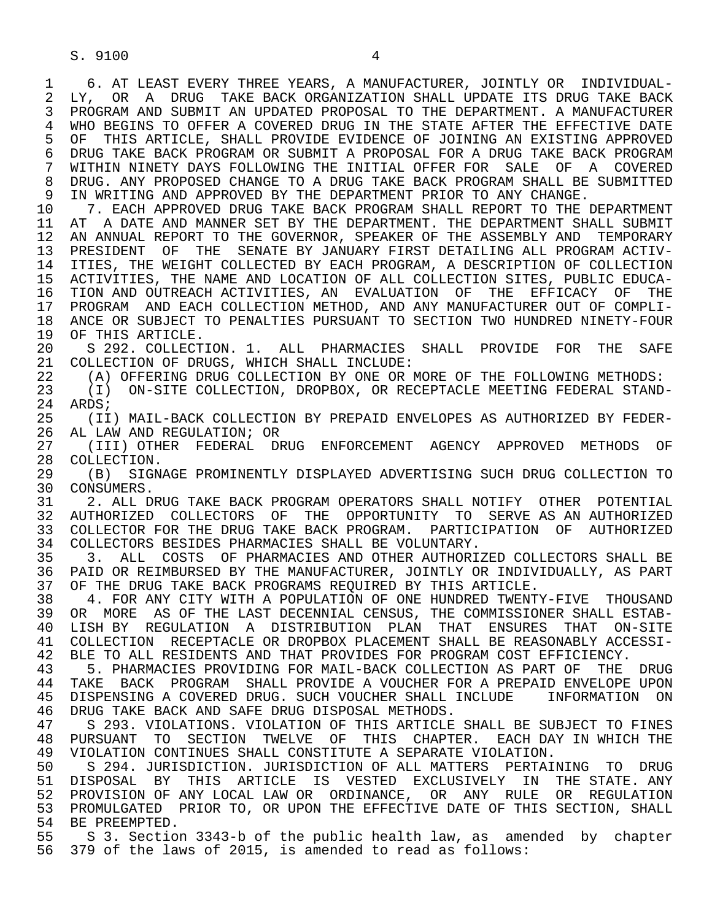S. 9100 4

1 6. AT LEAST EVERY THREE YEARS, A MANUFACTURER, JOINTLY OR INDIVIDUAL-<br>2 LY. OR A DRUG TAKE BACK ORGANIZATION SHALL UPDATE ITS DRUG TAKE BACK 2 LY, OR A DRUG TAKE BACK ORGANIZATION SHALL UPDATE ITS DRUG TAKE BACK<br>3 PROGRAM AND SUBMIT AN UPDATED PROPOSAL TO THE DEPARTMENT. A MANUFACTURER 3 PROGRAM AND SUBMIT AN UPDATED PROPOSAL TO THE DEPARTMENT. A MANUFACTURER 4 WHO BEGINS TO OFFER A COVERED DRUG IN THE STATE AFTER THE EFFECTIVE DATE<br>5 OF THIS ARTICLE, SHALL PROVIDE EVIDENCE OF JOINING AN EXISTING APPROVED 5 OF THIS ARTICLE, SHALL PROVIDE EVIDENCE OF JOINING AN EXISTING APPROVED<br>6 DRUG TAKE BACK PROGRAM OR SUBMIT A PROPOSAL FOR A DRUG TAKE BACK PROGRAM 6 DRUG TAKE BACK PROGRAM OR SUBMIT A PROPOSAL FOR A DRUG TAKE BACK PROGRAM<br>7 WITHIN NINETY DAYS FOLLOWING THE INITIAL OFFER FOR SALE OF A COVERED 7 WITHIN NINETY DAYS FOLLOWING THE INITIAL OFFER FOR SALE OF A COVERED<br>8 DRUG, ANY PROPOSED CHANGE TO A DRUG TAKE BACK PROGRAM SHALL BE SUBMITTED 8 DRUG. ANY PROPOSED CHANGE TO A DRUG TAKE BACK PROGRAM SHALL BE SUBMITTED<br>9 IN WRITING AND APPROVED BY THE DEPARTMENT PRIOR TO ANY CHANGE. 9 IN WRITING AND APPROVED BY THE DEPARTMENT PRIOR TO ANY CHANGE.<br>10 7. EACH APPROVED DRUG TAKE BACK PROGRAM SHALL REPORT TO THE

10 1. EACH APPROVED DRUG TAKE BACK PROGRAM SHALL REPORT TO THE DEPARTMENT<br>11 AT A DATE AND MANNER SET BY THE DEPARTMENT. THE DEPARTMENT SHALL SUBMIT 11 AT A DATE AND MANNER SET BY THE DEPARTMENT. THE DEPARTMENT SHALL SUBMIT<br>12 AN ANNUAL REPORT TO THE GOVERNOR, SPEAKER OF THE ASSEMBLY AND TEMPORARY 12 AN ANNUAL REPORT TO THE GOVERNOR, SPEAKER OF THE ASSEMBLY AND TEMPORARY<br>13 PRESIDENT OF THE SENATE BY JANUARY FIRST DETAILING ALL PROGRAM ACTIV-13 PRESIDENT OF THE SENATE BY JANUARY FIRST DETAILING ALL PROGRAM ACTIV-<br>14 ITIES, THE WEIGHT COLLECTED BY EACH PROGRAM, A DESCRIPTION OF COLLECTION ITIES, THE WEIGHT COLLECTED BY EACH PROGRAM, A DESCRIPTION OF COLLECTION 15 ACTIVITIES, THE NAME AND LOCATION OF ALL COLLECTION SITES, PUBLIC EDUCA-<br>16 TION AND OUTREACH ACTIVITIES, AN EVALUATION OF THE EFFICACY OF THE 16 TION AND OUTREACH ACTIVITIES, AN EVALUATION OF THE EFFICACY OF THE THE 17 PROGRAM AND EACH COLLECTION METHOD, AND ANY MANUFACTURER OUT OF COMPLI-17 PROGRAM AND EACH COLLECTION METHOD, AND ANY MANUFACTURER OUT OF COMPLI-<br>18 ANCE OR SUBJECT TO PENALTIES PURSUANT TO SECTION TWO HUNDRED NINETY-FOUR 18 ANCE OR SUBJECT TO PENALTIES PURSUANT TO SECTION TWO HUNDRED NINETY-FOUR<br>19 OF THIS ARTICLE.

19 OF THIS ARTICLE.<br>20 S 292. COLLECT 20 S 292. COLLECTION. 1. ALL PHARMACIES SHALL PROVIDE FOR THE SAFE<br>21 COLLECTION OF DRUGS, WHICH SHALL INCLUDE: 21 COLLECTION OF DRUGS, WHICH SHALL INCLUDE:<br>22 (A) OFFERING DRUG COLLECTION BY ONE OR 1

22 (A) OFFERING DRUG COLLECTION BY ONE OR MORE OF THE FOLLOWING METHODS:<br>23 (I) ON-SITE COLLECTION, DROPBOX, OR RECEPTACLE MEETING FEDERAL STAND

23 (I) ON-SITE COLLECTION, DROPBOX, OR RECEPTACLE MEETING FEDERAL STAND-<br>24 ARDS; 24 ARDS;<br>25 (TT)

 25 (II) MAIL-BACK COLLECTION BY PREPAID ENVELOPES AS AUTHORIZED BY FEDER- 26 AL LAW AND REGULATION; OR<br>27 (III) OTHER FEDERAL DE

27 (III) OTHER FEDERAL DRUG ENFORCEMENT AGENCY APPROVED METHODS OF<br>28 COLLECTION. 28 COLLECTION.<br>29 (B) SIGN.

 29 (B) SIGNAGE PROMINENTLY DISPLAYED ADVERTISING SUCH DRUG COLLECTION TO 30 CONSUMERS.<br>31 2. ALL D.

31 2. ALL DRUG TAKE BACK PROGRAM OPERATORS SHALL NOTIFY OTHER POTENTIAL<br>32 AUTHORIZED COLLECTORS OF THE OPPORTUNITY TO SERVE AS AN AUTHORIZED 32 AUTHORIZED COLLECTORS OF THE OPPORTUNITY TO SERVE<sup>AS</sup> ANAUTHORIZED<br>33 COLLECTOR FOR THE DRUG TAKE BACK PROGRAM. PARTICIPATION OF AUTHORIZED 33 COLLECTOR FOR THE DRUG TAKE BACK PROGRAM. PARTICIPATION OF AUTHORIZED<br>34 COLLECTORS BESIDES PHARMACIES SHALL BE VOLUNTARY. 34 COLLECTORS BESIDES PHARMACIES SHALL BE VOLUNTARY.<br>35 3. ALL COSTS OF PHARMACIES AND OTHER AUTHORI

35 3. ALL COSTS OF PHARMACIES AND OTHER AUTHORIZED COLLECTORS SHALL BE<br>36 PAID OR REIMBURSED BY THE MANUFACTURER, JOINTLY OR INDIVIDUALLY, AS PART PAID OR REIMBURSED BY THE MANUFACTURER, JOINTLY OR INDIVIDUALLY, AS PART 37 OF THE DRUG TAKE BACK PROGRAMS REQUIRED BY THIS ARTICLE.<br>38 4. FOR ANY CITY WITH A POPULATION OF ONE HUNDRED TWENT

38 The Same Camp of the Autor of the Hunder of The Thousand The Thous of the Last December of December 2019.<br>39 OR MORE AS OF THE LAST DECENNIAL CENSUS, THE COMMISSIONER SHALL ESTAB-39 OR MORE AS OF THE LAST DECENNIAL CENSUS, THE COMMISSIONER SHALL ESTAB-<br>40 LISH BY REGULATION A DISTRIBUTION PLAN THAT ENSURES THAT ON-SITE 40 LISH BY REGULATION A DISTRIBUTION PLAN THAT ENSURES THAT ON-SITE<br>41 COLLECTION RECEPTACLE OR DROPBOX PLACEMENT SHALL BE REASONABLY ACCESSI-41 COLLECTION RECEPTACLE OR DROPBOX PLACEMENT SHALL BE REASONABLY ACCESSI-<br>42 BLE TO ALL RESIDENTS AND THAT PROVIDES FOR PROGRAM COST EFFICIENCY. 42 BLE TO ALL RESIDENTS AND THAT PROVIDES FOR PROGRAM COST EFFICIENCY.<br>43 5. PHARMACIES PROVIDING FOR MAIL-BACK COLLECTION AS PART OF THE

 43 5. PHARMACIES PROVIDING FOR MAIL-BACK COLLECTION AS PART OF THE DRUG 44 TAKE BACK PROGRAM SHALL PROVIDE A VOUCHER FOR A PREPAID ENVELOPE UPON<br>45 DISPENSING A COVERED DRUG. SUCH VOUCHER SHALL INCLUDE INFORMATION ON 45 DISPENSING A COVERED DRUG. SUCH VOUCHER SHALL INCLUDE INFORMATION ON 46 DRUG TAKE BACK AND SAFE DRUG DISPOSAL METHODS.

47 S 293. VIOLATIONS. VIOLATION OF THIS ARTICLE SHALL BE SUBJECT TO FINES<br>48 PURSUANT TO SECTION TWELVE OF THIS CHAPTER. EACH DAY IN WHICH THE 48 PURSUANT TO SECTION TWELVE OF THIS CHAPTER. EACH DAY IN WHICH THE 49 VIOLATION CONTINUES SHALL CONSTITUTE A SEPARATE VIOLATION. 49 VIOLATION CONTINUES SHALL CONSTITUTE A SEPARATE VIOLATION.<br>50 S 294, JURISDICTION, JURISDICTION OF ALL MATTERS PERTAI

50 S 294. JURISDICTION. JURISDICTION OF ALL MATTERS PERTAINING TO DRUG<br>51 DISPOSAL BY THIS ARTICLE IS VESTED EXCLUSIVELY IN THE STATE. ANY 51 DISPOSAL BY THIS ARTICLE IS VESTED EXCLUSIVELY IN THE STATE. ANY 52 PROVISION OF ANY LOCAL LAW OR ORDINANCE, OR ANY RULE OR REGULATION 53 PROMULGATED PRIOR TO, OR UPON THE EFFECTIVE DATE OF THIS SECTION, SHALL 54 BE PREEMPTED.<br>55 S 3. Section

55 S 3. Section 3343-b of the public health law, as amended by chapter<br>56 379 of the laws of 2015, is amended to read as follows: 379 of the laws of 2015, is amended to read as follows: